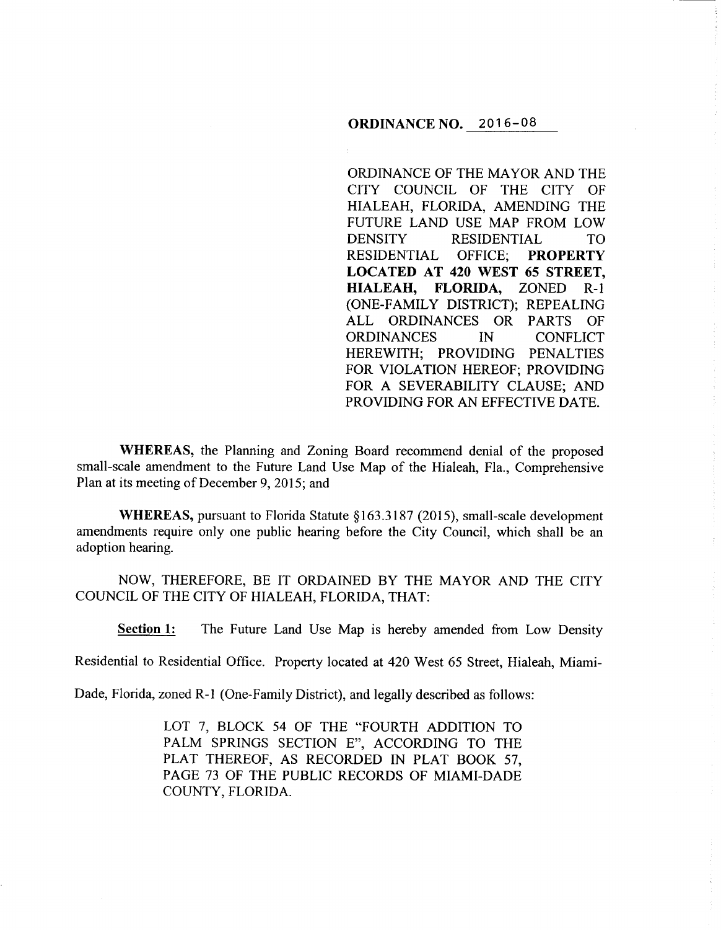## **ORDINANCE NO.** 2016-08

ORDINANCE OF THE MAYOR AND THE CITY COUNCIL OF THE CITY OF HIALEAH, FLORIDA, AMENDING THE FUTURE LAND USE MAP FROM LOW DENSITY RESIDENTIAL TO RESIDENTIAL OFFICE; **PROPERTY LOCATED AT 420 WEST 65 STREET, HIALEAH, FLORIDA,** ZONED R-1 (ONE-FAMILY DISTRICT); REPEALING ALL ORDINANCES OR PARTS OF ORDINANCES IN CONFLICT HEREWITH; PROVIDING PENALTIES FOR VIOLATION HEREOF; PROVIDING FOR A SEVERABILITY CLAUSE; AND PROVIDING FOR AN EFFECTIVE DATE.

**WHEREAS,** the Planning and Zoning Board recommend denial of the proposed small-scale amendment to the Future Land Use Map of the Hialeah, Fla., Comprehensive Plan at its meeting of December 9, 2015; and

**WHEREAS, pursuant to Florida Statute §163.3187 (2015), small-scale development** amendments require only one public hearing before the City Council, which shall be an adoption hearing.

NOW, THEREFORE, BE IT ORDAINED BY THE MAYOR AND THE CITY COUNCIL OF THE CITY OF HIALEAH, FLORIDA, THAT:

**Section 1:** The Future Land Use Map is hereby amended from Low Density

Residential to Residential Office. Property located at 420 West 65 Street, Hialeah, Miami-

Dade, Florida, zoned R-1 (One-Family District), and legally described as follows:

LOT 7, BLOCK 54 OF THE "FOURTH ADDITION TO PALM SPRINGS SECTION E", ACCORDING TO THE PLAT THEREOF, AS RECORDED IN PLAT BOOK 57, PAGE 73 OF THE PUBLIC RECORDS OF MIAMI-DADE COUNTY, FLORIDA.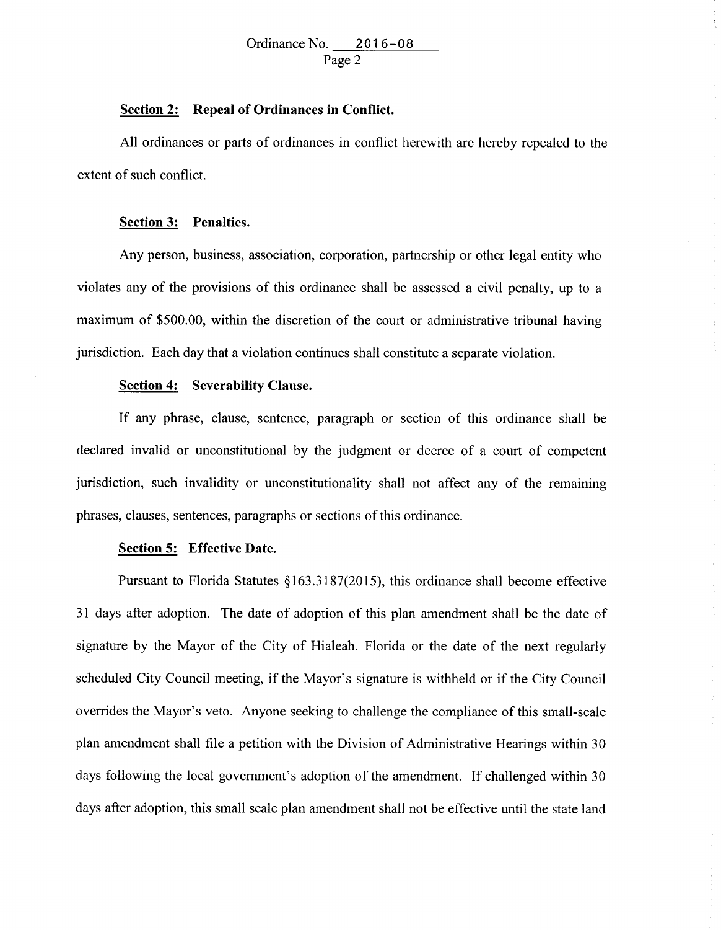# **Section 2: Repeal of Ordinances in Conflict.**

All ordinances or parts of ordinances in conflict herewith are hereby repealed to the extent of such conflict.

## **Section 3: Penalties.**

Any person, business, association, corporation, partnership or other legal entity who violates any of the provisions of this ordinance shall be assessed a civil penalty, up to a maximum of \$500.00, within the discretion of the court or administrative tribunal having jurisdiction. Each day that a violation continues shall constitute a separate violation.

#### **Section 4: Severability Clause.**

If any phrase, clause, sentence, paragraph or section of this ordinance shall be declared invalid or unconstitutional by the judgment or decree of a court of competent jurisdiction, such invalidity or unconstitutionality shall not affect any of the remaining phrases, clauses, sentences, paragraphs or sections of this ordinance.

#### **Section 5: Effective Date.**

Pursuant to Florida Statutes §163.3187(2015), this ordinance shall become effective 31 days after adoption. The date of adoption of this plan amendment shall be the date of signature by the Mayor of the City of Hialeah, Florida or the date of the next regularly scheduled City Council meeting, if the Mayor's signature is withheld or if the City Council overrides the Mayor's veto. Anyone seeking to challenge the compliance of this small-scale plan amendment shall file a petition with the Division of Administrative Hearings within 30 days following the local government's adoption of the amendment. If challenged within 30 days after adoption, this small scale plan amendment shall not be effective until the state land